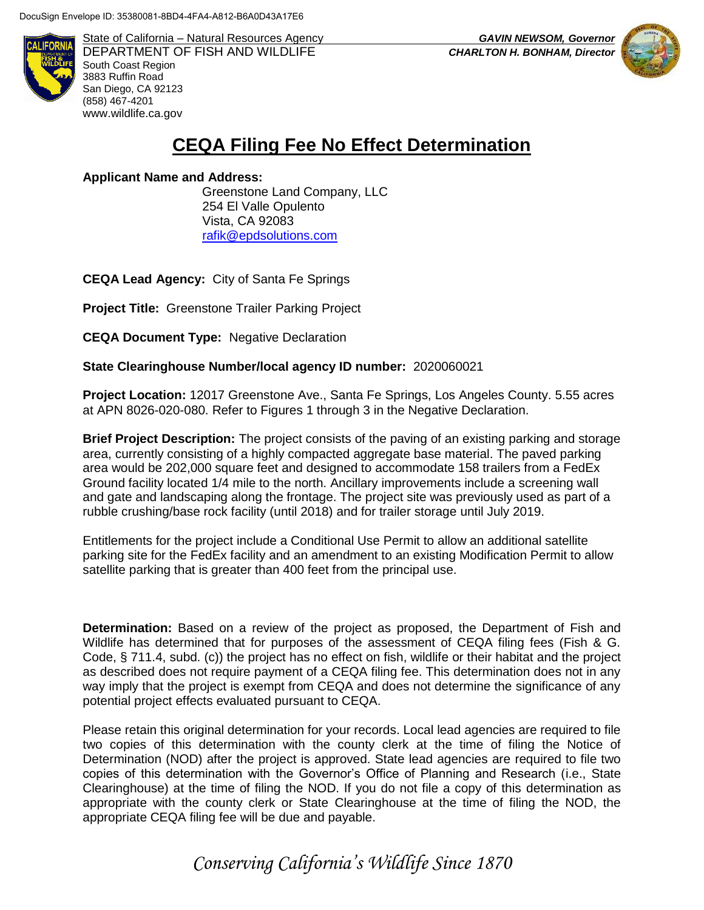

State of California – Natural Resources Agency *GAVIN NEWSOM, Governor* DEPARTMENT OF FISH AND WILDLIFE *CHARLTON H. BONHAM, Director*  South Coast Region 3883 Ruffin Road San Diego, CA 92123 (858) 467-4201 [www.wildlife.ca.gov](http://www.wildlife.ca.gov/)



## **CEQA Filing Fee No Effect Determination**

**Applicant Name and Address:**

 Greenstone Land Company, LLC 254 El Valle Opulento Vista, CA 92083 [rafik@epdsolutions.com](mailto:rafik@epdsolutions.com)

**CEQA Lead Agency:** City of Santa Fe Springs

**Project Title:** Greenstone Trailer Parking Project

**CEQA Document Type:** Negative Declaration

**State Clearinghouse Number/local agency ID number:** 2020060021

**Project Location:** 12017 Greenstone Ave., Santa Fe Springs, Los Angeles County. 5.55 acres at APN 8026-020-080. Refer to Figures 1 through 3 in the Negative Declaration.

**Brief Project Description:** The project consists of the paving of an existing parking and storage area, currently consisting of a highly compacted aggregate base material. The paved parking area would be 202,000 square feet and designed to accommodate 158 trailers from a FedEx Ground facility located 1/4 mile to the north. Ancillary improvements include a screening wall and gate and landscaping along the frontage. The project site was previously used as part of a rubble crushing/base rock facility (until 2018) and for trailer storage until July 2019.

Entitlements for the project include a Conditional Use Permit to allow an additional satellite parking site for the FedEx facility and an amendment to an existing Modification Permit to allow satellite parking that is greater than 400 feet from the principal use.

**Determination:** Based on a review of the project as proposed, the Department of Fish and Wildlife has determined that for purposes of the assessment of CEQA filing fees (Fish & G. Code, § 711.4, subd. (c)) the project has no effect on fish, wildlife or their habitat and the project as described does not require payment of a CEQA filing fee. This determination does not in any way imply that the project is exempt from CEQA and does not determine the significance of any potential project effects evaluated pursuant to CEQA.

Please retain this original determination for your records. Local lead agencies are required to file two copies of this determination with the county clerk at the time of filing the Notice of Determination (NOD) after the project is approved. State lead agencies are required to file two copies of this determination with the Governor's Office of Planning and Research (i.e., State Clearinghouse) at the time of filing the NOD. If you do not file a copy of this determination as appropriate with the county clerk or State Clearinghouse at the time of filing the NOD, the appropriate CEQA filing fee will be due and payable.

*Conserving California's Wildlife Since 1870*